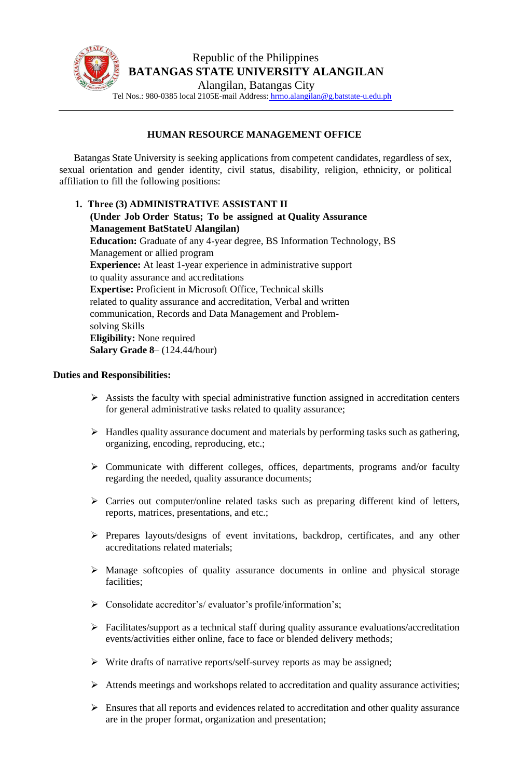

## **HUMAN RESOURCE MANAGEMENT OFFICE**

Batangas State University is seeking applications from competent candidates, regardless of sex, sexual orientation and gender identity, civil status, disability, religion, ethnicity, or political affiliation to fill the following positions:

**1. Three (3) ADMINISTRATIVE ASSISTANT II (Under Job Order Status; To be assigned at Quality Assurance Management BatStateU Alangilan) Education:** Graduate of any 4-year degree, BS Information Technology, BS Management or allied program **Experience:** At least 1-year experience in administrative support to quality assurance and accreditations **Expertise:** Proficient in Microsoft Office, Technical skills related to quality assurance and accreditation, Verbal and written communication, Records and Data Management and Problemsolving Skills **Eligibility:** None required **Salary Grade 8**– (124.44/hour)

## **Duties and Responsibilities:**

- $\triangleright$  Assists the faculty with special administrative function assigned in accreditation centers for general administrative tasks related to quality assurance;
- ➢ Handles quality assurance document and materials by performing tasks such as gathering, organizing, encoding, reproducing, etc.;
- ➢ Communicate with different colleges, offices, departments, programs and/or faculty regarding the needed, quality assurance documents;
- ➢ Carries out computer/online related tasks such as preparing different kind of letters, reports, matrices, presentations, and etc.;
- ➢ Prepares layouts/designs of event invitations, backdrop, certificates, and any other accreditations related materials;
- ➢ Manage softcopies of quality assurance documents in online and physical storage facilities;
- ➢ Consolidate accreditor's/ evaluator's profile/information's;
- ➢ Facilitates/support as a technical staff during quality assurance evaluations/accreditation events/activities either online, face to face or blended delivery methods;
- ➢ Write drafts of narrative reports/self-survey reports as may be assigned;
- ➢ Attends meetings and workshops related to accreditation and quality assurance activities;
- $\triangleright$  Ensures that all reports and evidences related to accreditation and other quality assurance are in the proper format, organization and presentation;